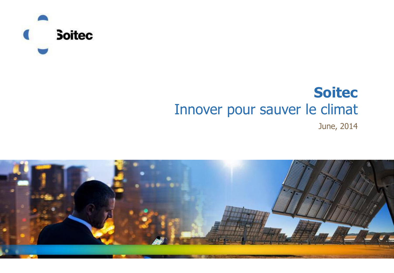

#### **Soitec** Innover pour sauver le climat

June, 2014

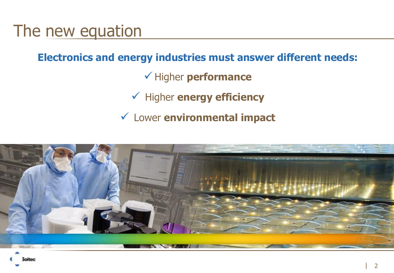#### The new equation

**Electronics and energy industries must answer different needs:**

Higher **performance**

Higher **energy efficiency**

Lower **environmental impact**

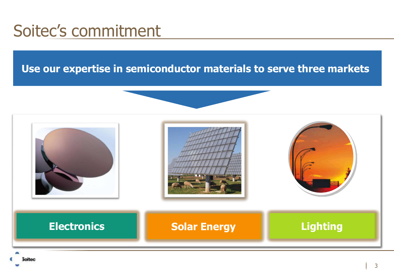#### Soitec's commitment

#### **Use our expertise in semiconductor materials to serve three markets:**

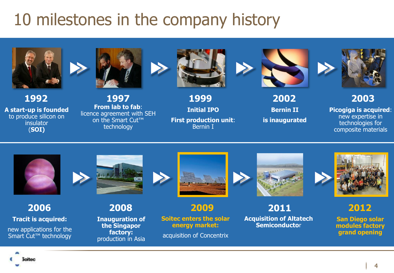### 10 milestones in the company history



**1992 A start-up is founded**

to produce silicon on **insulator** (**SOI)**



**From lab to fab**: licence agreement with SEH on the Smart Cut™ technology **1997 1999**



**Initial IPO First production unit**: Bernin I



**2002**

**Bernin II is inaugurated**



**2003**

**Picogiga is acquired**: new expertise in technologies for composite materials



**2006 Tracit is acquired:** new applications for the Smart Cut<sup>™</sup> technology



**Inauguration of the Singapor factory:** production in Asia **2008**





**2009**

**Soitec enters the solar energy market:**

acquisition of Concentrix



**2011**

**Acquisition of Altatech Semiconducto**r



**2012**

**San Diego solar modules factory grand opening**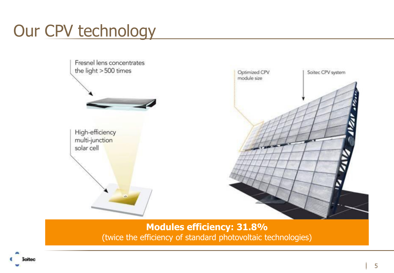## Our CPV technology



**Modules efficiency: 31.8%** (twice the efficiency of standard photovoltaic technologies)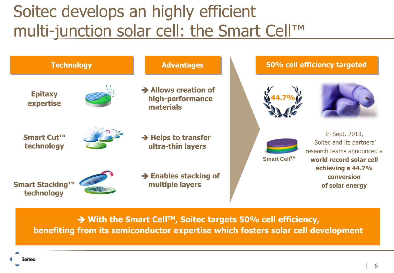### Soitec develops an highly efficient multi-junction solar cell: the Smart Cell™



→ With the Smart Cell<sup>TM</sup>, Soitec targets 50% cell efficiency, **benefiting from its semiconductor expertise which fosters solar cell development**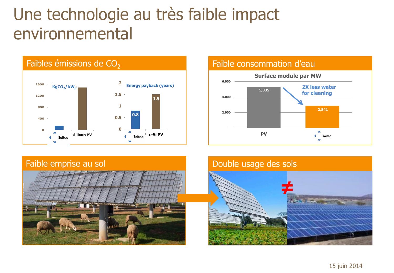#### Une technologie au très faible impact environnemental





#### **5,335 2,841 2,000 4,000 6,000 Surface module par MW 2X less water for cleaning**

**PV c** soited

#### Double usage des sols

**-**